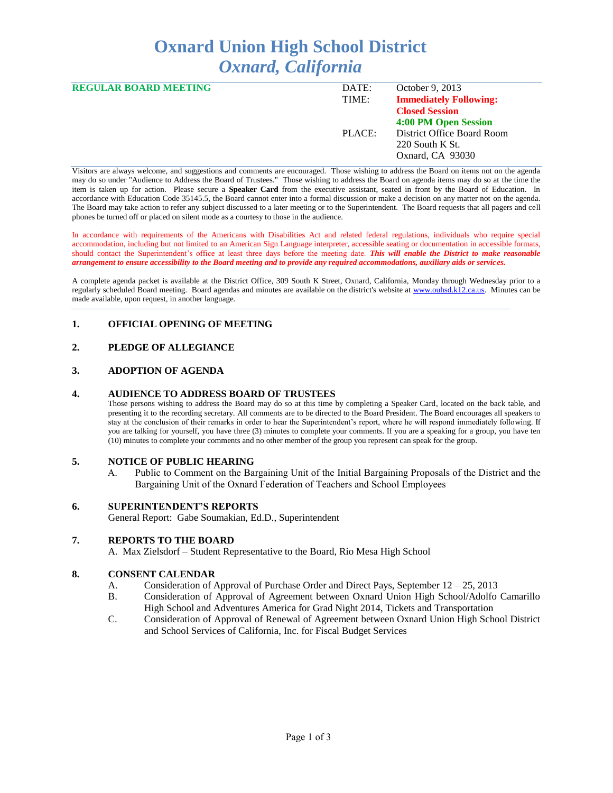# **Oxnard Union High School District** *Oxnard, California*

| <b>REGULAR BOARD MEETING</b> | DATE:  | October 9, 2013               |
|------------------------------|--------|-------------------------------|
|                              | TIME:  | <b>Immediately Following:</b> |
|                              |        | <b>Closed Session</b>         |
|                              |        | 4:00 PM Open Session          |
|                              | PLACE: | District Office Board Room    |
|                              |        | $220$ South K St.             |
|                              |        | Oxnard, CA 93030              |
|                              |        |                               |

Visitors are always welcome, and suggestions and comments are encouraged. Those wishing to address the Board on items not on the agenda may do so under "Audience to Address the Board of Trustees." Those wishing to address the Board on agenda items may do so at the time the item is taken up for action. Please secure a **Speaker Card** from the executive assistant, seated in front by the Board of Education. In accordance with Education Code 35145.5, the Board cannot enter into a formal discussion or make a decision on any matter not on the agenda. The Board may take action to refer any subject discussed to a later meeting or to the Superintendent. The Board requests that all pagers and cell phones be turned off or placed on silent mode as a courtesy to those in the audience.

In accordance with requirements of the Americans with Disabilities Act and related federal regulations, individuals who require special accommodation, including but not limited to an American Sign Language interpreter, accessible seating or documentation in accessible formats, should contact the Superintendent's office at least three days before the meeting date. *This will enable the District to make reasonable arrangement to ensure accessibility to the Board meeting and to provide any required accommodations, auxiliary aids or services.* 

A complete agenda packet is available at the District Office, 309 South K Street, Oxnard, California, Monday through Wednesday prior to a regularly scheduled Board meeting. Board agendas and minutes are available on the district's website at [www.ouhsd.k12.ca.us.](http://www.ouhsd.k12.ca.us/)Minutes can be made available, upon request, in another language.

# **1. OFFICIAL OPENING OF MEETING**

# **2. PLEDGE OF ALLEGIANCE**

## **3. ADOPTION OF AGENDA**

## **4. AUDIENCE TO ADDRESS BOARD OF TRUSTEES**

Those persons wishing to address the Board may do so at this time by completing a Speaker Card, located on the back table, and presenting it to the recording secretary. All comments are to be directed to the Board President. The Board encourages all speakers to stay at the conclusion of their remarks in order to hear the Superintendent's report, where he will respond immediately following. If you are talking for yourself, you have three (3) minutes to complete your comments. If you are a speaking for a group, you have ten (10) minutes to complete your comments and no other member of the group you represent can speak for the group.

## **5. NOTICE OF PUBLIC HEARING**

A. Public to Comment on the Bargaining Unit of the Initial Bargaining Proposals of the District and the Bargaining Unit of the Oxnard Federation of Teachers and School Employees

#### **6. SUPERINTENDENT'S REPORTS**

General Report: Gabe Soumakian, Ed.D., Superintendent

## **7. REPORTS TO THE BOARD**

A. Max Zielsdorf – Student Representative to the Board, Rio Mesa High School

#### **8. CONSENT CALENDAR**

- A. Consideration of Approval of Purchase Order and Direct Pays, September 12 25, 2013
- B. Consideration of Approval of Agreement between Oxnard Union High School/Adolfo Camarillo High School and Adventures America for Grad Night 2014, Tickets and Transportation
- C. Consideration of Approval of Renewal of Agreement between Oxnard Union High School District and School Services of California, Inc. for Fiscal Budget Services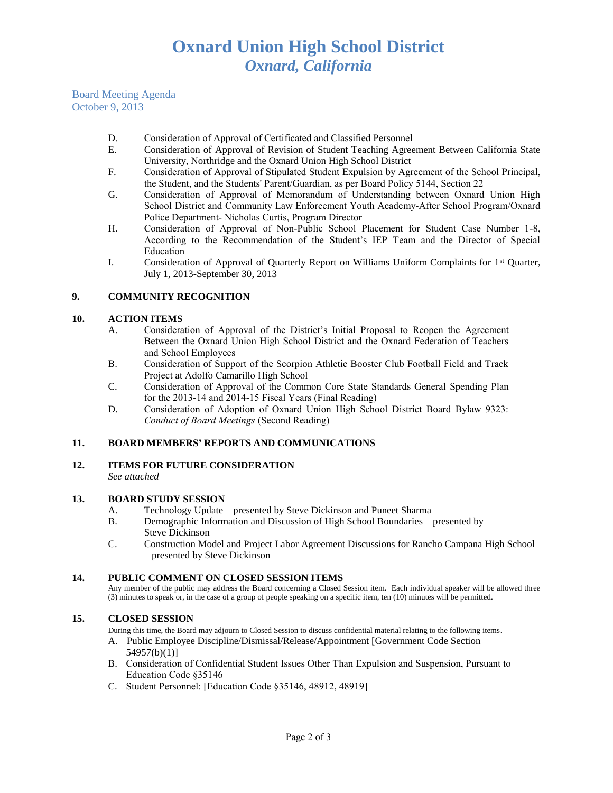Board Meeting Agenda October 9, 2013

- D. Consideration of Approval of Certificated and Classified Personnel
- E. Consideration of Approval of Revision of Student Teaching Agreement Between California State University, Northridge and the Oxnard Union High School District
- F. Consideration of Approval of Stipulated Student Expulsion by Agreement of the School Principal, the Student, and the Students' Parent/Guardian, as per Board Policy 5144, Section 22
- G. Consideration of Approval of Memorandum of Understanding between Oxnard Union High School District and Community Law Enforcement Youth Academy-After School Program/Oxnard Police Department- Nicholas Curtis, Program Director
- H. Consideration of Approval of Non-Public School Placement for Student Case Number 1-8, According to the Recommendation of the Student's IEP Team and the Director of Special Education
- I. Consideration of Approval of Quarterly Report on Williams Uniform Complaints for 1st Quarter, July 1, 2013-September 30, 2013

# **9. COMMUNITY RECOGNITION**

## **10. ACTION ITEMS**

- A. Consideration of Approval of the District's Initial Proposal to Reopen the Agreement Between the Oxnard Union High School District and the Oxnard Federation of Teachers and School Employees
- B. Consideration of Support of the Scorpion Athletic Booster Club Football Field and Track Project at Adolfo Camarillo High School
- C. Consideration of Approval of the Common Core State Standards General Spending Plan for the 2013-14 and 2014-15 Fiscal Years (Final Reading)
- D. Consideration of Adoption of Oxnard Union High School District Board Bylaw 9323: *Conduct of Board Meetings* (Second Reading)

## **11. BOARD MEMBERS' REPORTS AND COMMUNICATIONS**

**12. ITEMS FOR FUTURE CONSIDERATION** *See attached*

## **13. BOARD STUDY SESSION**

- A. Technology Update presented by Steve Dickinson and Puneet Sharma
- B. Demographic Information and Discussion of High School Boundaries presented by Steve Dickinson
- C. Construction Model and Project Labor Agreement Discussions for Rancho Campana High School – presented by Steve Dickinson

## **14. PUBLIC COMMENT ON CLOSED SESSION ITEMS**

Any member of the public may address the Board concerning a Closed Session item. Each individual speaker will be allowed three (3) minutes to speak or, in the case of a group of people speaking on a specific item, ten (10) minutes will be permitted.

## **15. CLOSED SESSION**

During this time, the Board may adjourn to Closed Session to discuss confidential material relating to the following items.

- A. Public Employee Discipline/Dismissal/Release/Appointment [Government Code Section 54957(b)(1)]
- B. Consideration of Confidential Student Issues Other Than Expulsion and Suspension, Pursuant to Education Code §35146
- C. Student Personnel: [Education Code §35146, 48912, 48919]